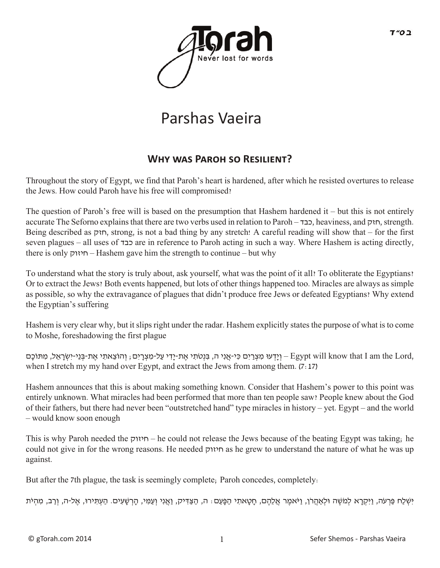

# Parshas Vaeira

### **Why was Paroh so Resilient?**

Throughout the story of Egypt, we find that Paroh's heart is hardened, after which he resisted overtures to release the Jews. How could Paroh have his free will compromised?

The question of Paroh's free will is based on the presumption that Hashem hardened it – but this is not entirely accurate The Seforno explains that there are two verbs used in relation to Paroh – כבד, heaviness, and חזק, strength. Being described as חזק, strong, is not a bad thing by any stretch! A careful reading will show that – for the first seven plagues – all uses of כבד are in reference to Paroh acting in such a way. Where Hashem is acting directly, there is only חיזוק – Hashem gave him the strength to continue – but why

To understand what the story is truly about, ask yourself, what was the point of it all? To obliterate the Egyptians? Or to extract the Jews? Both events happened, but lots of other things happened too. Miracles are always as simple as possible, so why the extravagance of plagues that didn't produce free Jews or defeated Egyptians? Why extend the Egyptian's suffering

Hashem is very clear why, but it slips right under the radar. Hashem explicitly states the purpose of what is to come to Moshe, foreshadowing the first plague

ן Egypt will know that I am the Lord, וְהוֹצֵאתִי אֶת-בְּנֵי-יִשְׂרָאֱל, מִתּוֹכָם – Egypt will know that I am when I stretch my my hand over Egypt, and extract the Jews from among them. (7:17)

Hashem announces that this is about making something known. Consider that Hashem's power to this point was entirely unknown. What miracles had been performed that more than ten people saw? People knew about the God of their fathers, but there had never been "outstretched hand" type miracles in history – yet. Egypt – and the world – would know soon enough

This is why Paroh needed the חיזוק – he could not release the Jews because of the beating Egypt was taking; he could not give in for the wrong reasons. He needed חיזוק as he grew to understand the nature of what he was up against.

But after the 7th plague, the task is seemingly complete; Paroh concedes, completely:

יִּשְׁלַח פַּרְעֹה, וַיִּקְרָא לְמֹשֶׁה וּלְאֲהֲרֹן, וַיֹּאמֶר אֲלֵהֶם, חַטָּאתִי הַפָּעַם: ה, הַצַּדִּיק, וַאֲנִי וְעַמִּי, הַרְשָׁעִים. הַעִתְּירוּ, אֲל-ה, וְרַב, מִהְיֹּת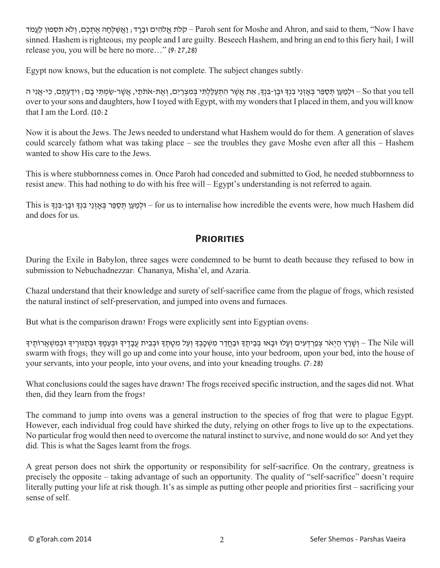לת אלהים וּברד; ואשִׁלַחה אתכם, ולא תֹספוּן לעמֹד – Paroh sent for Moshe and Ahron, and said to them, ''Now I have sinned. Hashem is righteous; my people and I are guilty. Beseech Hashem, and bring an end to this fiery hail; I will release you, you will be here no more…" (9:27,28)

Egypt now knows, but the education is not complete. The subject changes subtly:

So that you tell – ולמען תּספּר בּאזני בנִדְּ וּבן-בּנִדְ, את אָשִר התעללתי במצרים, ואת-אֹתֹתי, אַשֶׁר-שַמַתִּי בִם ; וידעתּם, כּי-אַני ה over to your sons and daughters, how I toyed with Egypt, with my wonders that I placed in them, and you will know that I am the Lord. (10:2

Now it is about the Jews. The Jews needed to understand what Hashem would do for them. A generation of slaves could scarcely fathom what was taking place – see the troubles they gave Moshe even after all this – Hashem wanted to show His care to the Jews.

This is where stubbornness comes in. Once Paroh had conceded and submitted to God, he needed stubbornness to resist anew. This had nothing to do with his free will – Egypt's understanding is not referred to again.

This is הְלָמַעֲן תִּסָפֵּר בְּאָזְנֵי בְנִךְ וּבֵן-בִּנְךָ is וּבֵן-בִּנְךָ וּבֵן-בִּנְךָ for us to internalise how incredible the events were, how much Hashem did and does for us.

#### **PRIORITIES**

During the Exile in Babylon, three sages were condemned to be burnt to death because they refused to bow in submission to Nebuchadnezzar: Chananya, Misha'el, and Azaria.

Chazal understand that their knowledge and surety of self-sacrifice came from the plague of frogs, which resisted the natural instinct of self-preservation, and jumped into ovens and furnaces.

But what is the comparison drawn? Frogs were explicitly sent into Egyptian ovens:

ן The Nile will – וְשֶׁרֵץ הַיְאֹר צְפַרְדָעִים וְעַלוּ וּבָאוּ בְּבֵיתֵךָ וּבָמֶם יִּבְבֵית עֲבָדֶיךָ וּבְעָמֶךָ וִבְתַנּוּרֵיךָ וּבְמִשְׁאֲרוֹתֵיךָ swarm with frogs; they will go up and come into your house, into your bedroom, upon your bed, into the house of your servants, into your people, into your ovens, and into your kneading troughs. (7:28)

What conclusions could the sages have drawn? The frogs received specific instruction, and the sages did not. What then, did they learn from the frogs?

The command to jump into ovens was a general instruction to the species of frog that were to plague Egypt. However, each individual frog could have shirked the duty, relying on other frogs to live up to the expectations. No particular frog would then need to overcome the natural instinct to survive, and none would do so! And yet they did. This is what the Sages learnt from the frogs.

A great person does not shirk the opportunity or responsibility for self-sacrifice. On the contrary, greatness is precisely the opposite – taking advantage of such an opportunity. The quality of "self-sacrifice" doesn't require literally putting your life at risk though. It's as simple as putting other people and priorities first – sacrificing your sense of self.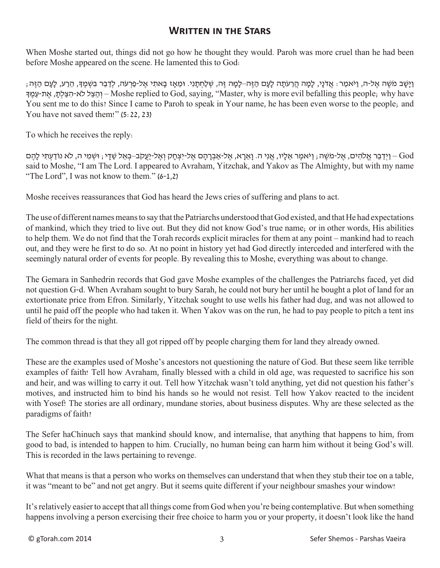#### **Written in the Stars**

When Moshe started out, things did not go how he thought they would. Paroh was more cruel than he had been before Moshe appeared on the scene. He lamented this to God:

וַיִּשָׁב מַשֶּׁה אַל-ה, וַיֹּאמַר: אַדֹנִי, לַמַח הַרַעְתָה לַעָם הזָה–לַמַּה זֶה, שַׁלַחְתַּנִי. וּמַאַז בַּאתֵי אַל-פַּרְעֹה, לִדְבַר בַּשְׁמַךְ, הרע, לַעָם הַזֶּה; ךָּ ֶמ ַע-ת ֶא ,ּ ָת ְלּ ַצ ִה-לאֹ לּ ֵצ ַה ְו – Moshe replied to God, saying, "Master, why is more evil befalling this people; why have You sent me to do this? Since I came to Paroh to speak in Your name, he has been even worse to the people; and You have not saved them!" (5:22, 23)

To which he receives the reply:

God – וַיְדַבֶר אֱלֹהִים, אֶל-מֹשֶׁה; וַיֹּאמֶר אֶלֶיו, אֲנִי ה. וַאֲרָא, אֶל-אַבְרָהָם אֶל-יִצְחַק וְאֶל-יַעֲקֹב–בָּאֶל שַׁדִי; וִשְׁמִי ה, לֹא נוֹדַעְתִי לַהֶם said to Moshe, "I am The Lord. I appeared to Avraham, Yitzchak, and Yakov as The Almighty, but with my name "The Lord", I was not know to them." (6-1,2)

Moshe receives reassurances that God has heard the Jews cries of suffering and plans to act.

The use of different names means to say that the Patriarchs understood that God existed, and that He had expectations of mankind, which they tried to live out. But they did not know God's true name; or in other words, His abilities to help them. We do not find that the Torah records explicit miracles for them at any point – mankind had to reach out, and they were he first to do so. At no point in history yet had God directly interceded and interfered with the seemingly natural order of events for people. By revealing this to Moshe, everything was about to change.

The Gemara in Sanhedrin records that God gave Moshe examples of the challenges the Patriarchs faced, yet did not question G-d. When Avraham sought to bury Sarah, he could not bury her until he bought a plot of land for an extortionate price from Efron. Similarly, Yitzchak sought to use wells his father had dug, and was not allowed to until he paid off the people who had taken it. When Yakov was on the run, he had to pay people to pitch a tent ins field of theirs for the night.

The common thread is that they all got ripped off by people charging them for land they already owned.

These are the examples used of Moshe's ancestors not questioning the nature of God. But these seem like terrible examples of faith! Tell how Avraham, finally blessed with a child in old age, was requested to sacrifice his son and heir, and was willing to carry it out. Tell how Yitzchak wasn't told anything, yet did not question his father's motives, and instructed him to bind his hands so he would not resist. Tell how Yakov reacted to the incident with Yosef! The stories are all ordinary, mundane stories, about business disputes. Why are these selected as the paradigms of faith?

The Sefer haChinuch says that mankind should know, and internalise, that anything that happens to him, from good to bad, is intended to happen to him. Crucially, no human being can harm him without it being God's will. This is recorded in the laws pertaining to revenge.

What that means is that a person who works on themselves can understand that when they stub their toe on a table, it was "meant to be" and not get angry. But it seems quite different if your neighbour smashes your window!

It's relatively easier to accept that all things come from God when you're being contemplative. But when something happens involving a person exercising their free choice to harm you or your property, it doesn't look like the hand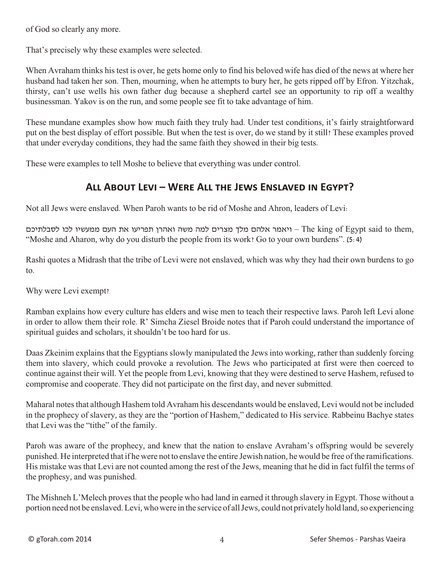of God so clearly any more.

That's precisely why these examples were selected.

When Avraham thinks his test is over, he gets home only to find his beloved wife has died of the news at where her husband had taken her son. Then, mourning, when he attempts to bury her, he gets ripped off by Efron. Yitzchak, thirsty, can't use wells his own father dug because a shepherd cartel see an opportunity to rip off a wealthy businessman. Yakov is on the run, and some people see fit to take advantage of him.

These mundane examples show how much faith they truly had. Under test conditions, it's fairly straightforward put on the best display of effort possible. But when the test is over, do we stand by it still? These examples proved that under everyday conditions, they had the same faith they showed in their big tests.

These were examples to tell Moshe to believe that everything was under control.

## **All About Levi – Were All the Jews Enslaved in Egypt?**

Not all Jews were enslaved. When Paroh wants to be rid of Moshe and Ahron, leaders of Levi:

היאמר אלהם מלך מצרים למה משה ואהרן תפריעו את העם ממעשיו לכו לסבלתיכם – The king of Egypt said to them, "Moshe and Aharon, why do you disturb the people from its work? Go to your own burdens". (5:4)

Rashi quotes a Midrash that the tribe of Levi were not enslaved, which was why they had their own burdens to go to.

Why were Levi exempt?

Ramban explains how every culture has elders and wise men to teach their respective laws. Paroh left Levi alone in order to allow them their role. R' Simcha Ziesel Broide notes that if Paroh could understand the importance of spiritual guides and scholars, it shouldn't be too hard for us.

Daas Zkeinim explains that the Egyptians slowly manipulated the Jews into working, rather than suddenly forcing them into slavery, which could provoke a revolution. The Jews who participated at first were then coerced to continue against their will. Yet the people from Levi, knowing that they were destined to serve Hashem, refused to compromise and cooperate. They did not participate on the first day, and never submitted.

Maharal notes that although Hashem told Avraham his descendants would be enslaved, Levi would not be included in the prophecy of slavery, as they are the "portion of Hashem," dedicated to His service. Rabbeinu Bachye states that Levi was the "tithe" of the family.

Paroh was aware of the prophecy, and knew that the nation to enslave Avraham's offspring would be severely punished. He interpreted that if he were not to enslave the entire Jewish nation, he would be free of the ramifications. His mistake was that Levi are not counted among the rest of the Jews, meaning that he did in fact fulfil the terms of the prophesy, and was punished.

The Mishneh L'Melech proves that the people who had land in earned it through slavery in Egypt. Those without a portion need not be enslaved. Levi, who were in the service of all Jews, could not privately hold land, so experiencing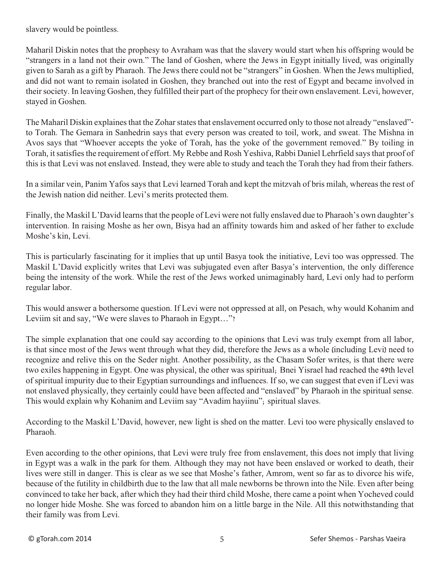slavery would be pointless.

Maharil Diskin notes that the prophesy to Avraham was that the slavery would start when his offspring would be "strangers in a land not their own." The land of Goshen, where the Jews in Egypt initially lived, was originally given to Sarah as a gift by Pharaoh. The Jews there could not be "strangers" in Goshen. When the Jews multiplied, and did not want to remain isolated in Goshen, they branched out into the rest of Egypt and became involved in their society. In leaving Goshen, they fulfilled their part of the prophecy for their own enslavement. Levi, however, stayed in Goshen.

The Maharil Diskin explaines that the Zohar states that enslavement occurred only to those not already "enslaved" to Torah. The Gemara in Sanhedrin says that every person was created to toil, work, and sweat. The Mishna in Avos says that "Whoever accepts the yoke of Torah, has the yoke of the government removed." By toiling in Torah, it satisfies the requirement of effort. My Rebbe and Rosh Yeshiva, Rabbi Daniel Lehrfield says that proof of this is that Levi was not enslaved. Instead, they were able to study and teach the Torah they had from their fathers.

In a similar vein, Panim Yafos says that Levi learned Torah and kept the mitzvah of bris milah, whereas the rest of the Jewish nation did neither. Levi's merits protected them.

Finally, the Maskil L'David learns that the people of Levi were not fully enslaved due to Pharaoh's own daughter's intervention. In raising Moshe as her own, Bisya had an affinity towards him and asked of her father to exclude Moshe's kin, Levi.

This is particularly fascinating for it implies that up until Basya took the initiative, Levi too was oppressed. The Maskil L'David explicitly writes that Levi was subjugated even after Basya's intervention, the only difference being the intensity of the work. While the rest of the Jews worked unimaginably hard, Levi only had to perform regular labor.

This would answer a bothersome question. If Levi were not oppressed at all, on Pesach, why would Kohanim and Leviim sit and say, "We were slaves to Pharaoh in Egypt..."?

The simple explanation that one could say according to the opinions that Levi was truly exempt from all labor, is that since most of the Jews went through what they did, therefore the Jews as a whole (including Levi) need to recognize and relive this on the Seder night. Another possibility, as the Chasam Sofer writes, is that there were two exiles happening in Egypt. One was physical, the other was spiritual; Bnei Yisrael had reached the 49th level of spiritual impurity due to their Egyptian surroundings and influences. If so, we can suggest that even if Levi was not enslaved physically, they certainly could have been affected and "enslaved" by Pharaoh in the spiritual sense. This would explain why Kohanim and Leviim say "Avadim hayiinu"; spiritual slaves.

According to the Maskil L'David, however, new light is shed on the matter. Levi too were physically enslaved to Pharaoh.

Even according to the other opinions, that Levi were truly free from enslavement, this does not imply that living in Egypt was a walk in the park for them. Although they may not have been enslaved or worked to death, their lives were still in danger. This is clear as we see that Moshe's father, Amrom, went so far as to divorce his wife, because of the futility in childbirth due to the law that all male newborns be thrown into the Nile. Even after being convinced to take her back, after which they had their third child Moshe, there came a point when Yocheved could no longer hide Moshe. She was forced to abandon him on a little barge in the Nile. All this notwithstanding that their family was from Levi.